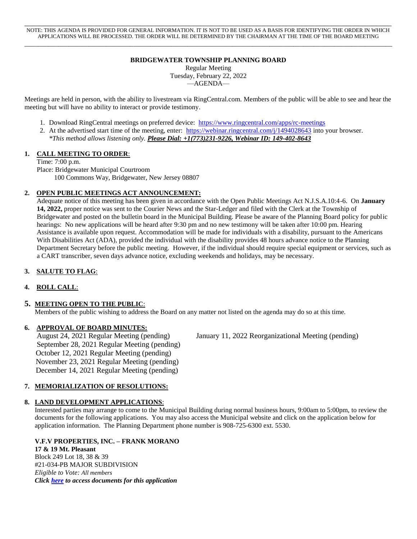\_\_\_\_\_\_\_\_\_\_\_\_\_\_\_\_\_\_\_\_\_\_\_\_\_\_\_\_\_\_\_\_\_\_\_\_\_\_\_\_\_\_\_\_\_\_\_\_\_\_\_\_\_\_\_\_\_\_\_\_\_\_\_\_\_\_\_\_\_\_\_\_\_\_\_\_\_\_\_\_\_\_\_\_\_\_\_\_\_\_\_\_\_\_\_\_\_\_ NOTE: THIS AGENDA IS PROVIDED FOR GENERAL INFORMATION. IT IS NOT TO BE USED AS A BASIS FOR IDENTIFYING THE ORDER IN WHICH APPLICATIONS WILL BE PROCESSED. THE ORDER WILL BE DETERMINED BY THE CHAIRMAN AT THE TIME OF THE BOARD MEETING \_\_\_\_\_\_\_\_\_\_\_\_\_\_\_\_\_\_\_\_\_\_\_\_\_\_\_\_\_\_\_\_\_\_\_\_\_\_\_\_\_\_\_\_\_\_\_\_\_\_\_\_\_\_\_\_\_\_\_\_\_\_\_\_\_\_\_\_\_\_\_\_\_\_\_\_\_\_\_\_\_\_\_\_\_\_\_\_\_\_\_\_\_\_\_\_\_\_\_\_\_\_\_\_\_\_\_\_

## **BRIDGEWATER TOWNSHIP PLANNING BOARD**

Regular Meeting Tuesday, February 22, 2022 —AGENDA—

Meetings are held in person, with the ability to livestream via RingCentral.com. Members of the public will be able to see and hear the meeting but will have no ability to interact or provide testimony.

- 1. Download RingCentral meetings on preferred device:<https://www.ringcentral.com/apps/rc-meetings>
- 2. At the advertised start time of the meeting, enter: <https://webinar.ringcentral.com/j/1494028643> into your browser. *\*This method allows listening only. Please Dial: +1(773)231-9226, Webinar ID: 149-402-8643*

## **1. CALL MEETING TO ORDER**:

Time: 7:00 p.m.

Place: Bridgewater Municipal Courtroom 100 Commons Way, Bridgewater, New Jersey 08807

## **2. OPEN PUBLIC MEETINGS ACT ANNOUNCEMENT:**

Adequate notice of this meeting has been given in accordance with the Open Public Meetings Act N.J.S.A.10:4-6. On **January 14, 2022,** proper notice was sent to the Courier News and the Star-Ledger and filed with the Clerk at the Township of Bridgewater and posted on the bulletin board in the Municipal Building. Please be aware of the Planning Board policy for public hearings: No new applications will be heard after 9:30 pm and no new testimony will be taken after 10:00 pm. Hearing Assistance is available upon request. Accommodation will be made for individuals with a disability, pursuant to the Americans With Disabilities Act (ADA), provided the individual with the disability provides 48 hours advance notice to the Planning Department Secretary before the public meeting. However, if the individual should require special equipment or services, such as a CART transcriber, seven days advance notice, excluding weekends and holidays, may be necessary.

## **3. SALUTE TO FLAG**:

## **4. ROLL CALL**:

## **5. MEETING OPEN TO THE PUBLIC**:

Members of the public wishing to address the Board on any matter not listed on the agenda may do so at this time.

#### **6. APPROVAL OF BOARD MINUTES:**

August 24, 2021 Regular Meeting (pending) January 11, 2022 Reorganizational Meeting (pending) September 28, 2021 Regular Meeting (pending) October 12, 2021 Regular Meeting (pending) November 23, 2021 Regular Meeting (pending) December 14, 2021 Regular Meeting (pending)

### **7. MEMORIALIZATION OF RESOLUTIONS:**

#### **8. LAND DEVELOPMENT APPLICATIONS**:

Interested parties may arrange to come to the Municipal Building during normal business hours, 9:00am to 5:00pm, to review the documents for the following applications. You may also access the Municipal website and click on the application below for application information. The Planning Department phone number is 908-725-6300 ext. 5530.

 **V.F.V PROPERTIES, INC. – FRANK MORANO 17 & 19 Mt. Pleasant** Block 249 Lot 18, 38 & 39 #21-034-PB MAJOR SUBDIVISION  *Eligible to Vote: All members Click [here](https://drive.google.com/drive/u/0/folders/1elHEjy6JJRi2D1HeEywxVsvldUYvqRyx) to access documents for this application*